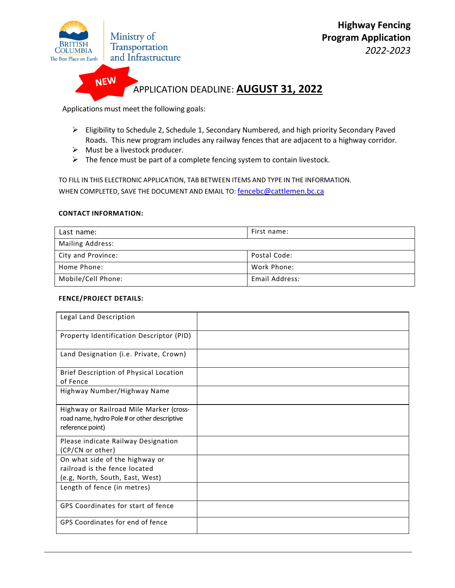

Applications must meet the following goals:

 Eligibility to Schedule 2, Schedule 1, Secondary Numbered, and high priority Secondary Paved Roads. This new program includes any railway fences that are adjacent to a highway corridor.

*2022-2023*

- $\triangleright$  Must be a livestock producer.
- $\triangleright$  The fence must be part of a complete fencing system to contain livestock.

TO FILL IN THIS ELECTRONIC APPLICATION, TAB BETWEEN ITEMS AND TYPE IN THE INFORMATION. WHEN COMPLETED, SAVE THE DOCUMENT AND EMAIL TO: [fenceb](mailto:fencenbc@gmail.com)c@cattlemen.bc.ca

## **CONTACT INFORMATION:**

| Last name:              | First name:    |  |
|-------------------------|----------------|--|
| <b>Mailing Address:</b> |                |  |
| City and Province:      | Postal Code:   |  |
| Home Phone:             | Work Phone:    |  |
| Mobile/Cell Phone:      | Email Address: |  |

## **FENCE/PROJECT DETAILS:**

| Legal Land Description                       |  |
|----------------------------------------------|--|
| Property Identification Descriptor (PID)     |  |
| Land Designation (i.e. Private, Crown)       |  |
| Brief Description of Physical Location       |  |
| of Fence                                     |  |
| Highway Number/Highway Name                  |  |
| Highway or Railroad Mile Marker (cross-      |  |
| road name, hydro Pole # or other descriptive |  |
| reference point)                             |  |
| Please indicate Railway Designation          |  |
| (CP/CN or other)                             |  |
| On what side of the highway or               |  |
| railroad is the fence located                |  |
| (e.g, North, South, East, West)              |  |
| Length of fence (in metres)                  |  |
| GPS Coordinates for start of fence           |  |
| GPS Coordinates for end of fence             |  |